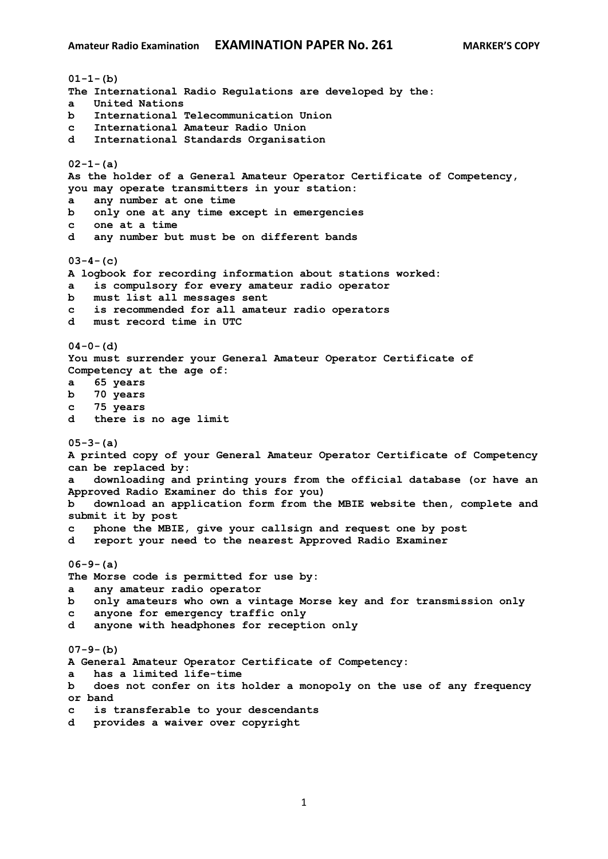**01-1-(b) The International Radio Regulations are developed by the: a United Nations b International Telecommunication Union c International Amateur Radio Union d International Standards Organisation 02-1-(a) As the holder of a General Amateur Operator Certificate of Competency, you may operate transmitters in your station: a any number at one time b only one at any time except in emergencies c one at a time d any number but must be on different bands 03-4-(c) A logbook for recording information about stations worked: a is compulsory for every amateur radio operator b must list all messages sent c is recommended for all amateur radio operators d must record time in UTC 04-0-(d) You must surrender your General Amateur Operator Certificate of Competency at the age of: a 65 years b 70 years c 75 years d there is no age limit 05-3-(a) A printed copy of your General Amateur Operator Certificate of Competency can be replaced by: a downloading and printing yours from the official database (or have an Approved Radio Examiner do this for you) b download an application form from the MBIE website then, complete and submit it by post c phone the MBIE, give your callsign and request one by post d report your need to the nearest Approved Radio Examiner 06-9-(a) The Morse code is permitted for use by: a any amateur radio operator b only amateurs who own a vintage Morse key and for transmission only c anyone for emergency traffic only d anyone with headphones for reception only 07-9-(b) A General Amateur Operator Certificate of Competency: a has a limited life-time b does not confer on its holder a monopoly on the use of any frequency or band c is transferable to your descendants d provides a waiver over copyright**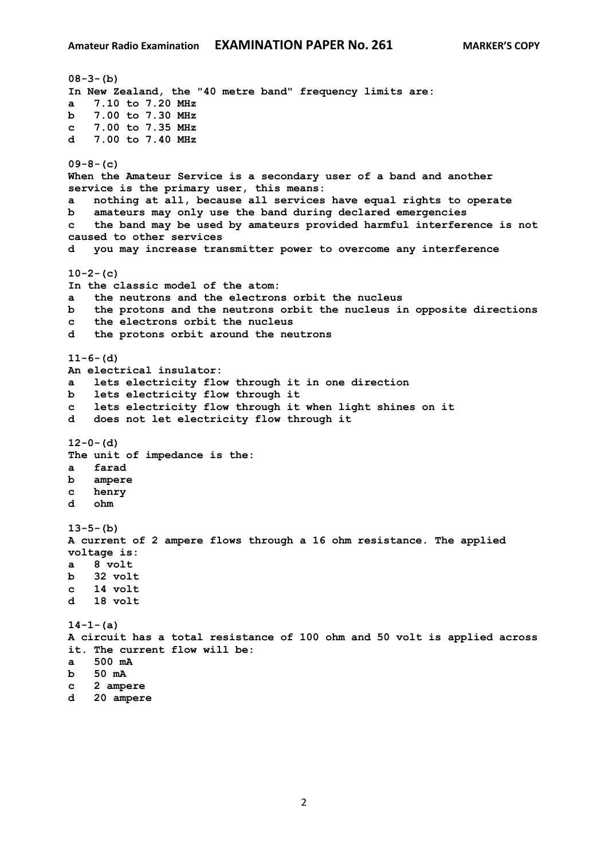```
08-3-(b)
In New Zealand, the "40 metre band" frequency limits are:
a 7.10 to 7.20 MHz
b 7.00 to 7.30 MHz
c 7.00 to 7.35 MHz
d 7.00 to 7.40 MHz
09-8-(c)
When the Amateur Service is a secondary user of a band and another 
service is the primary user, this means:
a nothing at all, because all services have equal rights to operate
b amateurs may only use the band during declared emergencies
c the band may be used by amateurs provided harmful interference is not 
caused to other services
d you may increase transmitter power to overcome any interference
10-2-(c)
In the classic model of the atom:
a the neutrons and the electrons orbit the nucleus
b the protons and the neutrons orbit the nucleus in opposite directions
c the electrons orbit the nucleus
d the protons orbit around the neutrons
11-6-(d)
An electrical insulator:
a lets electricity flow through it in one direction
b lets electricity flow through it
c lets electricity flow through it when light shines on it
d does not let electricity flow through it
12-0-(d)
The unit of impedance is the:
a farad
b ampere
c henry
d ohm
13-5-(b)
A current of 2 ampere flows through a 16 ohm resistance. The applied 
voltage is:
a 8 volt
b 32 volt
c 14 volt 
d 18 volt 
14-1-(a)
A circuit has a total resistance of 100 ohm and 50 volt is applied across 
it. The current flow will be:
a 500 mA
b 50 mA
c 2 ampere
d 20 ampere
```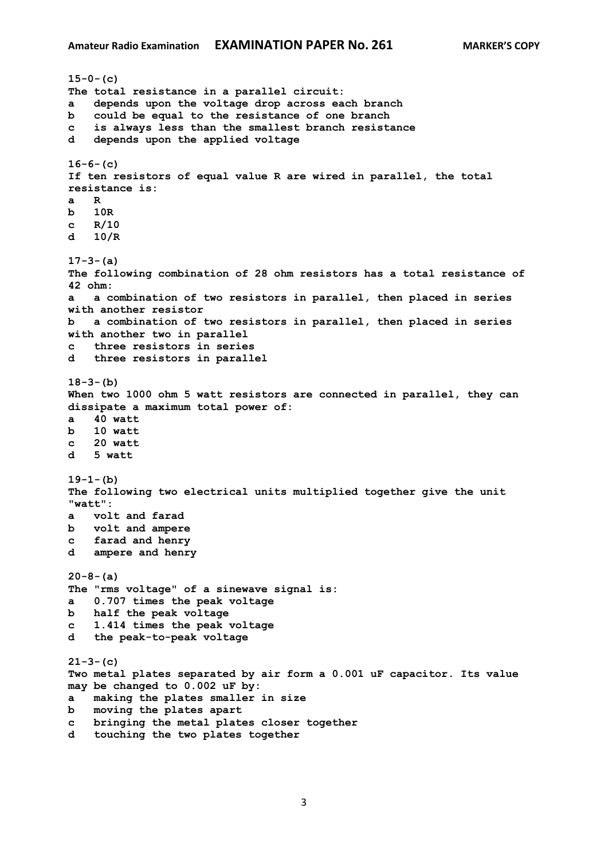```
15-0-(c)
The total resistance in a parallel circuit:
a depends upon the voltage drop across each branch
b could be equal to the resistance of one branch
c is always less than the smallest branch resistance
d depends upon the applied voltage
16-6-(c)
If ten resistors of equal value R are wired in parallel, the total 
resistance is:
a R
b 10R
c R/10
d 10/R 
17-3-(a)
The following combination of 28 ohm resistors has a total resistance of 
42 ohm:
a a combination of two resistors in parallel, then placed in series 
with another resistor
b a combination of two resistors in parallel, then placed in series 
with another two in parallel
c three resistors in series
d three resistors in parallel
18-3-(b)
When two 1000 ohm 5 watt resistors are connected in parallel, they can 
dissipate a maximum total power of:
a 40 watt
b 10 watt 
c 20 watt
d 5 watt
19-1-(b)
The following two electrical units multiplied together give the unit 
"watt":
a volt and farad
b volt and ampere
c farad and henry 
d ampere and henry
20-8-(a)
The "rms voltage" of a sinewave signal is:
a 0.707 times the peak voltage
b half the peak voltage
c 1.414 times the peak voltage
d the peak-to-peak voltage
21-3-(c)
Two metal plates separated by air form a 0.001 uF capacitor. Its value 
may be changed to 0.002 uF by:
a making the plates smaller in size
b moving the plates apart
c bringing the metal plates closer together
d touching the two plates together
```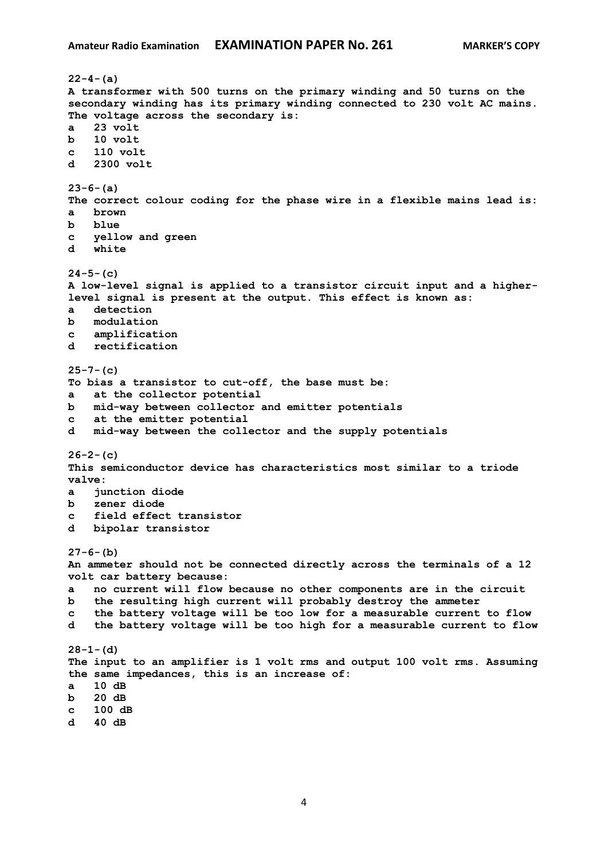**22-4-(a) A transformer with 500 turns on the primary winding and 50 turns on the secondary winding has its primary winding connected to 230 volt AC mains. The voltage across the secondary is: a 23 volt b 10 volt c 110 volt d 2300 volt 23-6-(a) The correct colour coding for the phase wire in a flexible mains lead is: a brown b blue c yellow and green d white 24-5-(c) A low-level signal is applied to a transistor circuit input and a higherlevel signal is present at the output. This effect is known as: a detection b modulation c amplification d rectification 25-7-(c) To bias a transistor to cut-off, the base must be: a at the collector potential b mid-way between collector and emitter potentials c at the emitter potential d mid-way between the collector and the supply potentials 26-2-(c) This semiconductor device has characteristics most similar to a triode valve: a junction diode b zener diode c field effect transistor d bipolar transistor 27-6-(b) An ammeter should not be connected directly across the terminals of a 12 volt car battery because: a no current will flow because no other components are in the circuit b the resulting high current will probably destroy the ammeter c the battery voltage will be too low for a measurable current to flow d the battery voltage will be too high for a measurable current to flow 28-1-(d) The input to an amplifier is 1 volt rms and output 100 volt rms. Assuming the same impedances, this is an increase of: a 10 dB b 20 dB c 100 dB d 40 dB**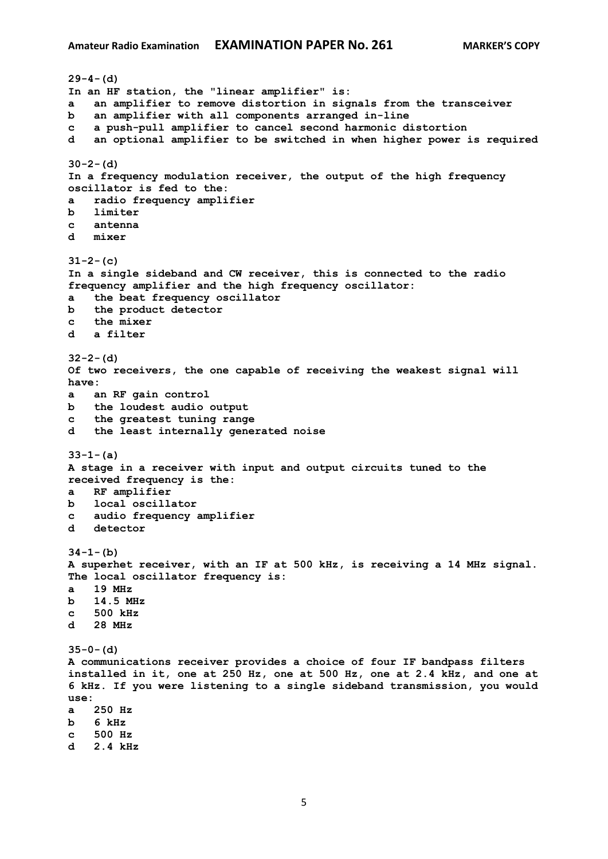```
29-4-(d)
In an HF station, the "linear amplifier" is:
a an amplifier to remove distortion in signals from the transceiver
b an amplifier with all components arranged in-line
c a push-pull amplifier to cancel second harmonic distortion
d an optional amplifier to be switched in when higher power is required
30-2-(d)
In a frequency modulation receiver, the output of the high frequency 
oscillator is fed to the:
a radio frequency amplifier
b limiter
c antenna
d mixer
31-2-(c)
In a single sideband and CW receiver, this is connected to the radio 
frequency amplifier and the high frequency oscillator:
a the beat frequency oscillator
b the product detector
c the mixer
d a filter
32-2-(d)
Of two receivers, the one capable of receiving the weakest signal will 
have:
a an RF gain control
b the loudest audio output
c the greatest tuning range
d the least internally generated noise
33-1-(a)
A stage in a receiver with input and output circuits tuned to the 
received frequency is the:
a RF amplifier
b local oscillator
c audio frequency amplifier
d detector
34-1-(b)
A superhet receiver, with an IF at 500 kHz, is receiving a 14 MHz signal. 
The local oscillator frequency is:
a 19 MHz
b 14.5 MHz
c 500 kHz
d 28 MHz 
35-0-(d)
A communications receiver provides a choice of four IF bandpass filters 
installed in it, one at 250 Hz, one at 500 Hz, one at 2.4 kHz, and one at 
6 kHz. If you were listening to a single sideband transmission, you would 
use:
a 250 Hz
b 6 kHz
c 500 Hz
d 2.4 kHz
```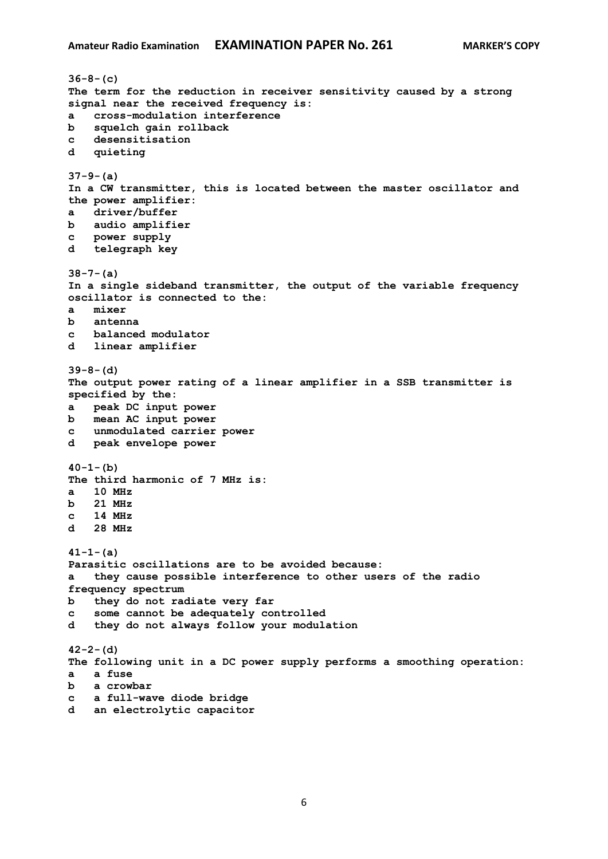```
36-8-(c)
The term for the reduction in receiver sensitivity caused by a strong 
signal near the received frequency is:
a cross-modulation interference
b squelch gain rollback
c desensitisation
d quieting
37-9-(a)
In a CW transmitter, this is located between the master oscillator and 
the power amplifier:
a driver/buffer
b audio amplifier
c power supply
d telegraph key
38-7-(a)
In a single sideband transmitter, the output of the variable frequency 
oscillator is connected to the:
a mixer
b antenna
c balanced modulator
d linear amplifier
39-8-(d)
The output power rating of a linear amplifier in a SSB transmitter is 
specified by the:
a peak DC input power
b mean AC input power
c unmodulated carrier power
d peak envelope power
40-1-(b)
The third harmonic of 7 MHz is:
a 10 MHz
b 21 MHz
c 14 MHz
d 28 MHz
41-1-(a)
Parasitic oscillations are to be avoided because:
a they cause possible interference to other users of the radio 
frequency spectrum
b they do not radiate very far
c some cannot be adequately controlled
d they do not always follow your modulation
42-2-(d)
The following unit in a DC power supply performs a smoothing operation:
a a fuse
b a crowbar
c a full-wave diode bridge
d an electrolytic capacitor
```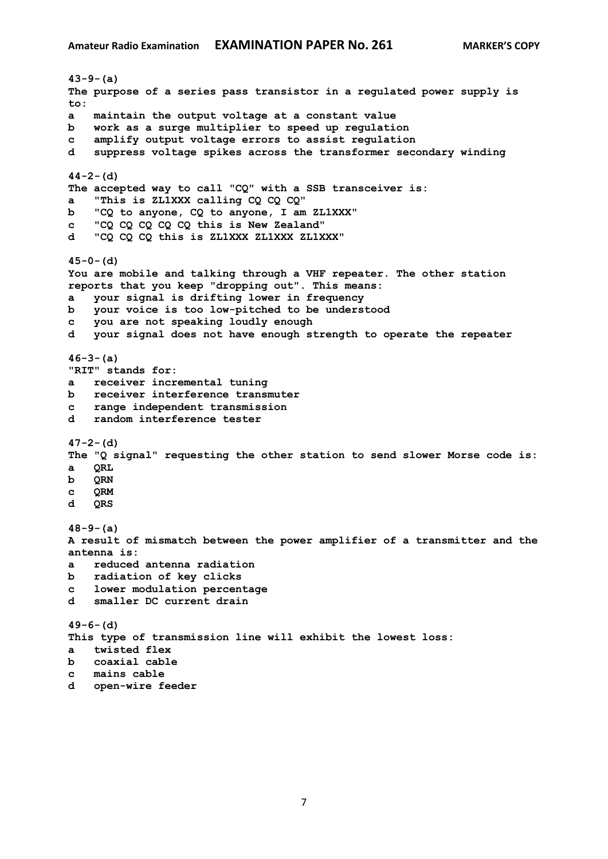**43-9-(a) The purpose of a series pass transistor in a regulated power supply is to: a maintain the output voltage at a constant value b work as a surge multiplier to speed up regulation c amplify output voltage errors to assist regulation d suppress voltage spikes across the transformer secondary winding 44-2-(d) The accepted way to call "CQ" with a SSB transceiver is: a "This is ZL1XXX calling CQ CQ CQ" b "CQ to anyone, CQ to anyone, I am ZL1XXX" c "CQ CQ CQ CQ CQ this is New Zealand" d "CQ CQ CQ this is ZL1XXX ZL1XXX ZL1XXX" 45-0-(d) You are mobile and talking through a VHF repeater. The other station reports that you keep "dropping out". This means: a your signal is drifting lower in frequency b your voice is too low-pitched to be understood c you are not speaking loudly enough d your signal does not have enough strength to operate the repeater 46-3-(a) "RIT" stands for: a receiver incremental tuning b receiver interference transmuter c range independent transmission d random interference tester 47-2-(d) The "Q signal" requesting the other station to send slower Morse code is: a QRL b QRN c QRM d QRS 48-9-(a) A result of mismatch between the power amplifier of a transmitter and the antenna is: a reduced antenna radiation b radiation of key clicks c lower modulation percentage d smaller DC current drain 49-6-(d) This type of transmission line will exhibit the lowest loss: a twisted flex b coaxial cable c mains cable**

**d open-wire feeder**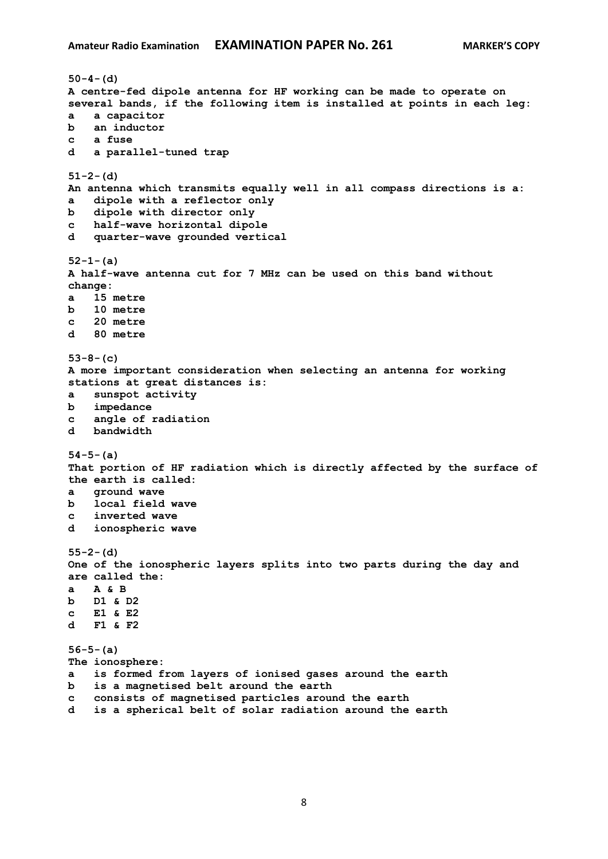```
50-4-(d)
A centre-fed dipole antenna for HF working can be made to operate on 
several bands, if the following item is installed at points in each leg:
a a capacitor
b an inductor
c a fuse
d a parallel-tuned trap
51-2-(d)
An antenna which transmits equally well in all compass directions is a:
a dipole with a reflector only
b dipole with director only
c half-wave horizontal dipole
d quarter-wave grounded vertical
52-1-(a)
A half-wave antenna cut for 7 MHz can be used on this band without 
change:
a 15 metre
b 10 metre
c 20 metre
d 80 metre
53-8-(c)
A more important consideration when selecting an antenna for working 
stations at great distances is:
a sunspot activity
b impedance
c angle of radiation
d bandwidth
54-5-(a)
That portion of HF radiation which is directly affected by the surface of 
the earth is called:
a ground wave
b local field wave
c inverted wave
d ionospheric wave
55-2-(d)
One of the ionospheric layers splits into two parts during the day and 
are called the:
a A & B
b D1 & D2
c E1 & E2
d F1 & F2
56-5-(a)
The ionosphere:
a is formed from layers of ionised gases around the earth
b is a magnetised belt around the earth
c consists of magnetised particles around the earth
d is a spherical belt of solar radiation around the earth
```